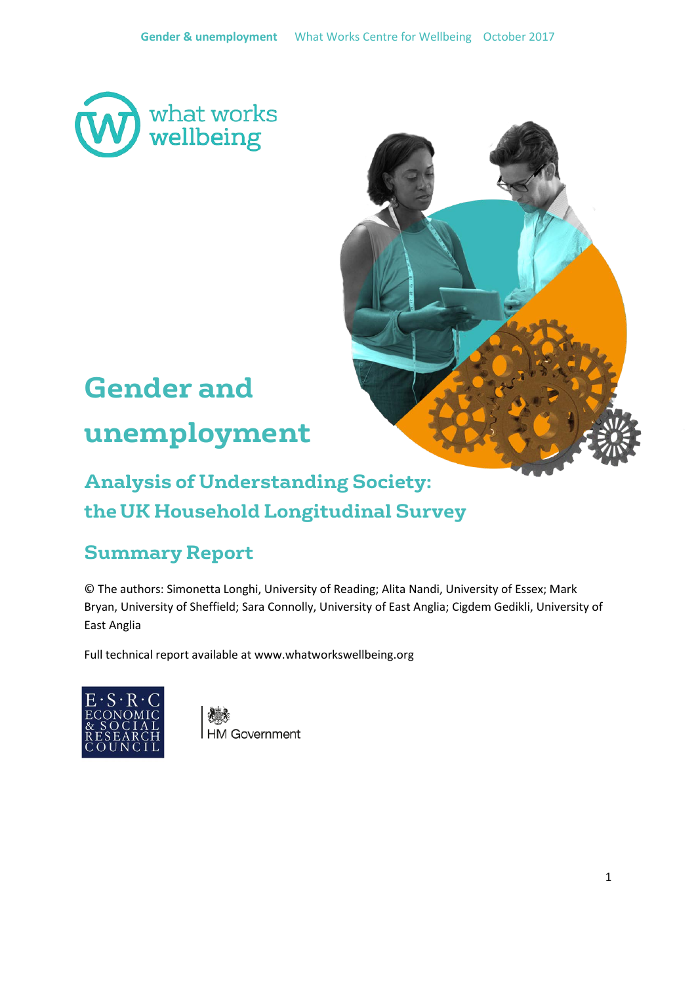



# **Gender and unemployment**

# **Analysis of Understanding Society: the UK Household Longitudinal Survey**

# **Summary Report**

© The authors: Simonetta Longhi, University of Reading; Alita Nandi, University of Essex; Mark Bryan, University of Sheffield; Sara Connolly, University of East Anglia; Cigdem Gedikli, University of East Anglia

Full technical report available at www.whatworkswellbeing.org



**HM Government**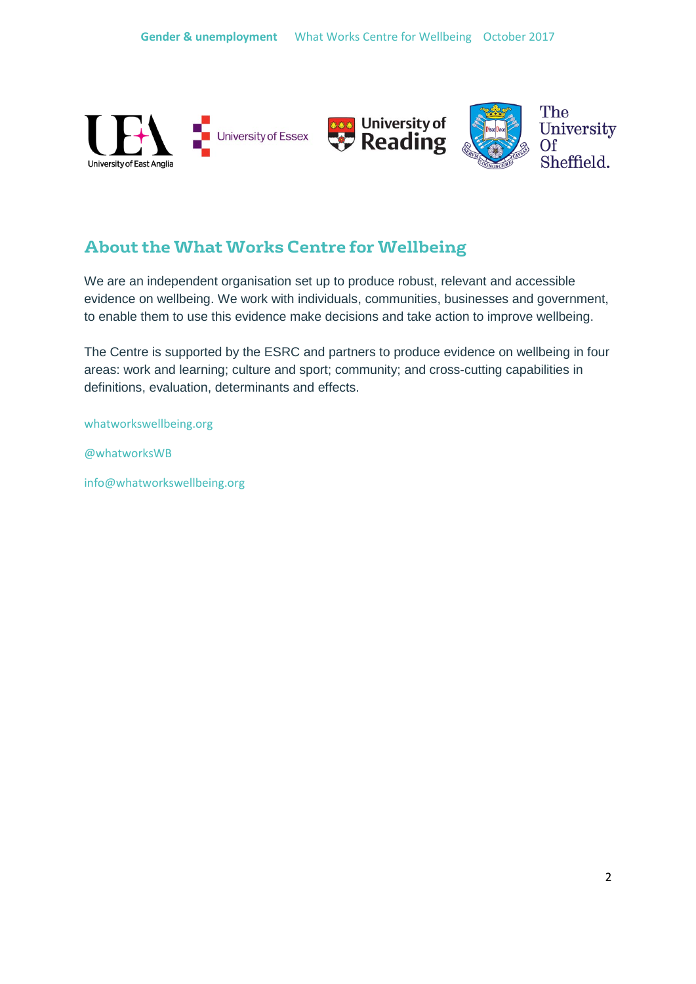

# **About the What Works Centre for Wellbeing**

We are an independent organisation set up to produce robust, relevant and accessible evidence on wellbeing. We work with individuals, communities, businesses and government, to enable them to use this evidence make decisions and take action to improve wellbeing.

The Centre is supported by the ESRC and partners to produce evidence on wellbeing in four areas: work and learning; culture and sport; community; and cross-cutting capabilities in definitions, evaluation, determinants and effects.

whatworkswellbeing.org

@whatworksWB

info@whatworkswellbeing.org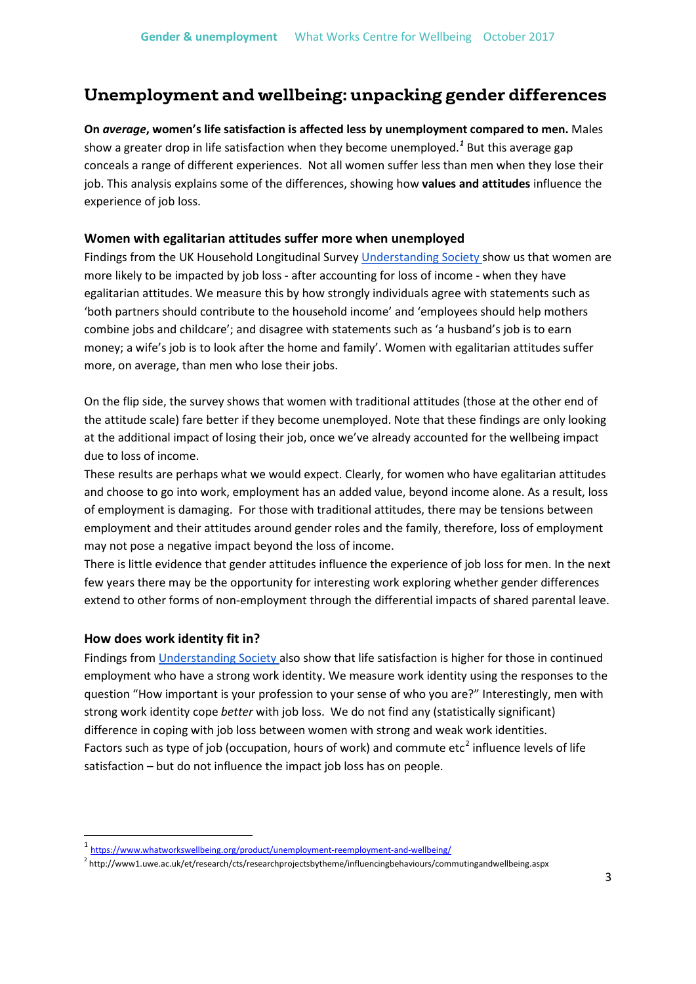## **Unemployment and wellbeing: unpacking gender differences**

**On** *average***, women's life satisfaction is affected less by unemployment compared to men.** Males show a greater drop in life satisfaction when they become unemployed.*[1](#page-2-0)* But this average gap conceals a range of different experiences. Not all women suffer less than men when they lose their job. This analysis explains some of the differences, showing how **values and attitudes** influence the experience of job loss.

#### **Women with egalitarian attitudes suffer more when unemployed**

Findings from the UK Household Longitudinal Survey [Understanding Society](https://www.understandingsociety.ac.uk/) show us that women are more likely to be impacted by job loss - after accounting for loss of income - when they have egalitarian attitudes. We measure this by how strongly individuals agree with statements such as 'both partners should contribute to the household income' and 'employees should help mothers combine jobs and childcare'; and disagree with statements such as 'a husband's job is to earn money; a wife's job is to look after the home and family'. Women with egalitarian attitudes suffer more, on average, than men who lose their jobs.

On the flip side, the survey shows that women with traditional attitudes (those at the other end of the attitude scale) fare better if they become unemployed. Note that these findings are only looking at the additional impact of losing their job, once we've already accounted for the wellbeing impact due to loss of income.

These results are perhaps what we would expect. Clearly, for women who have egalitarian attitudes and choose to go into work, employment has an added value, beyond income alone. As a result, loss of employment is damaging. For those with traditional attitudes, there may be tensions between employment and their attitudes around gender roles and the family, therefore, loss of employment may not pose a negative impact beyond the loss of income.

There is little evidence that gender attitudes influence the experience of job loss for men. In the next few years there may be the opportunity for interesting work exploring whether gender differences extend to other forms of non-employment through the differential impacts of shared parental leave.

#### **How does work identity fit in?**

Findings fro[m Understanding Society](https://www.understandingsociety.ac.uk/) also show that life satisfaction is higher for those in continued employment who have a strong work identity. We measure work identity using the responses to the question "How important is your profession to your sense of who you are?" Interestingly, men with strong work identity cope *better* with job loss. We do not find any (statistically significant) difference in coping with job loss between women with strong and weak work identities. Factors such as type of job (occupation, hours of work) and commute  $etc<sup>2</sup>$  $etc<sup>2</sup>$  $etc<sup>2</sup>$  influence levels of life satisfaction – but do not influence the impact job loss has on people.

<span id="page-2-0"></span> <sup>1</sup> <https://www.whatworkswellbeing.org/product/unemployment-reemployment-and-wellbeing/>

<span id="page-2-1"></span><sup>2</sup> http://www1.uwe.ac.uk/et/research/cts/researchprojectsbytheme/influencingbehaviours/commutingandwellbeing.aspx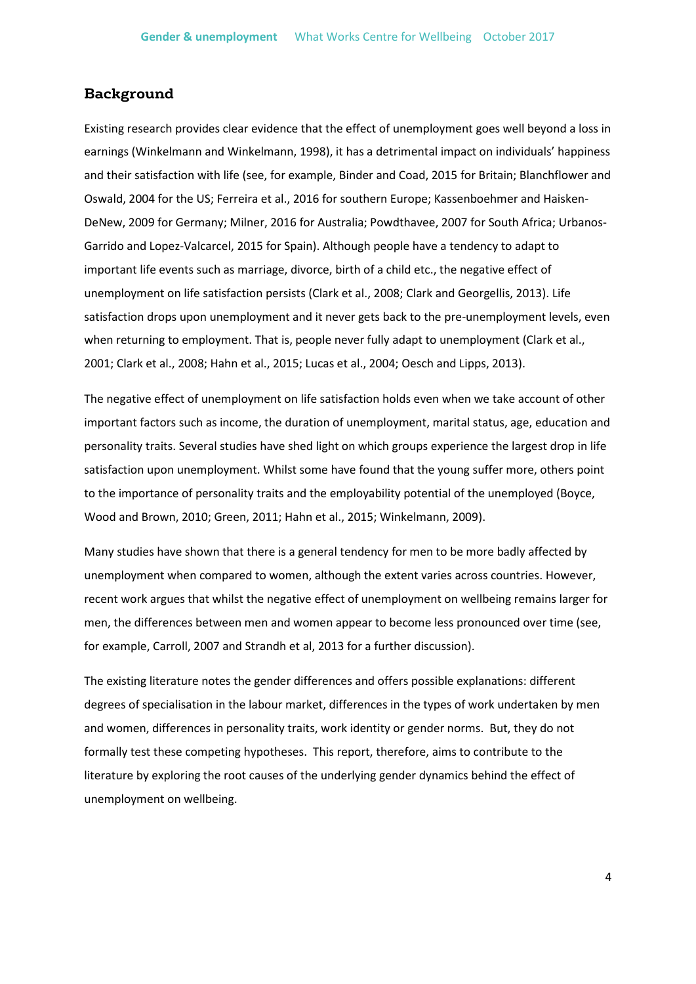#### **Background**

Existing research provides clear evidence that the effect of unemployment goes well beyond a loss in earnings (Winkelmann and Winkelmann, 1998), it has a detrimental impact on individuals' happiness and their satisfaction with life (see, for example, Binder and Coad, 2015 for Britain; Blanchflower and Oswald, 2004 for the US; Ferreira et al., 2016 for southern Europe; Kassenboehmer and Haisken-DeNew, 2009 for Germany; Milner, 2016 for Australia; Powdthavee, 2007 for South Africa; Urbanos-Garrido and Lopez-Valcarcel, 2015 for Spain). Although people have a tendency to adapt to important life events such as marriage, divorce, birth of a child etc., the negative effect of unemployment on life satisfaction persists (Clark et al., 2008; Clark and Georgellis, 2013). Life satisfaction drops upon unemployment and it never gets back to the pre-unemployment levels, even when returning to employment. That is, people never fully adapt to unemployment (Clark et al., 2001; Clark et al., 2008; Hahn et al., 2015; Lucas et al., 2004; Oesch and Lipps, 2013).

The negative effect of unemployment on life satisfaction holds even when we take account of other important factors such as income, the duration of unemployment, marital status, age, education and personality traits. Several studies have shed light on which groups experience the largest drop in life satisfaction upon unemployment. Whilst some have found that the young suffer more, others point to the importance of personality traits and the employability potential of the unemployed (Boyce, Wood and Brown, 2010; Green, 2011; Hahn et al., 2015; Winkelmann, 2009).

Many studies have shown that there is a general tendency for men to be more badly affected by unemployment when compared to women, although the extent varies across countries. However, recent work argues that whilst the negative effect of unemployment on wellbeing remains larger for men, the differences between men and women appear to become less pronounced over time (see, for example, Carroll, 2007 and Strandh et al, 2013 for a further discussion).

The existing literature notes the gender differences and offers possible explanations: different degrees of specialisation in the labour market, differences in the types of work undertaken by men and women, differences in personality traits, work identity or gender norms. But, they do not formally test these competing hypotheses. This report, therefore, aims to contribute to the literature by exploring the root causes of the underlying gender dynamics behind the effect of unemployment on wellbeing.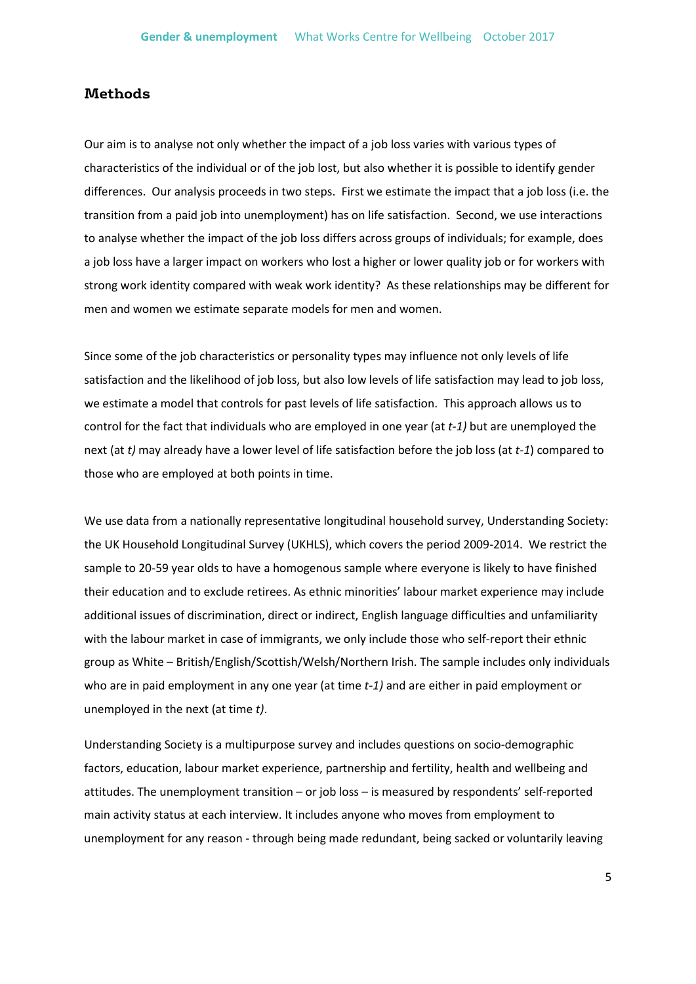#### **Methods**

Our aim is to analyse not only whether the impact of a job loss varies with various types of characteristics of the individual or of the job lost, but also whether it is possible to identify gender differences. Our analysis proceeds in two steps. First we estimate the impact that a job loss (i.e. the transition from a paid job into unemployment) has on life satisfaction. Second, we use interactions to analyse whether the impact of the job loss differs across groups of individuals; for example, does a job loss have a larger impact on workers who lost a higher or lower quality job or for workers with strong work identity compared with weak work identity? As these relationships may be different for men and women we estimate separate models for men and women.

Since some of the job characteristics or personality types may influence not only levels of life satisfaction and the likelihood of job loss, but also low levels of life satisfaction may lead to job loss, we estimate a model that controls for past levels of life satisfaction. This approach allows us to control for the fact that individuals who are employed in one year (at *t-1)* but are unemployed the next (at *t)* may already have a lower level of life satisfaction before the job loss (at *t-1*) compared to those who are employed at both points in time.

We use data from a nationally representative longitudinal household survey, Understanding Society: the UK Household Longitudinal Survey (UKHLS), which covers the period 2009-2014. We restrict the sample to 20-59 year olds to have a homogenous sample where everyone is likely to have finished their education and to exclude retirees. As ethnic minorities' labour market experience may include additional issues of discrimination, direct or indirect, English language difficulties and unfamiliarity with the labour market in case of immigrants, we only include those who self-report their ethnic group as White – British/English/Scottish/Welsh/Northern Irish. The sample includes only individuals who are in paid employment in any one year (at time *t-1)* and are either in paid employment or unemployed in the next (at time *t)*.

Understanding Society is a multipurpose survey and includes questions on socio-demographic factors, education, labour market experience, partnership and fertility, health and wellbeing and attitudes. The unemployment transition – or job loss – is measured by respondents' self-reported main activity status at each interview. It includes anyone who moves from employment to unemployment for any reason - through being made redundant, being sacked or voluntarily leaving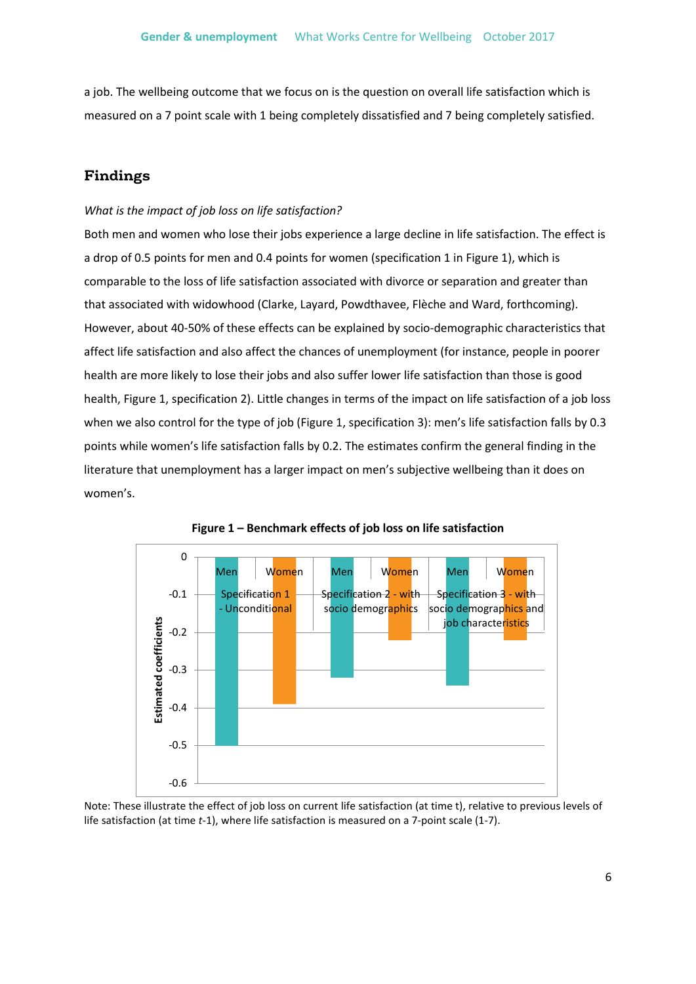a job. The wellbeing outcome that we focus on is the question on overall life satisfaction which is measured on a 7 point scale with 1 being completely dissatisfied and 7 being completely satisfied.

### **Findings**

#### *What is the impact of job loss on life satisfaction?*

Both men and women who lose their jobs experience a large decline in life satisfaction. The effect is a drop of 0.5 points for men and 0.4 points for women (specification 1 in Figure 1), which is comparable to the loss of life satisfaction associated with divorce or separation and greater than that associated with widowhood (Clarke, Layard, Powdthavee, Flèche and Ward, forthcoming). However, about 40-50% of these effects can be explained by socio-demographic characteristics that affect life satisfaction and also affect the chances of unemployment (for instance, people in poorer health are more likely to lose their jobs and also suffer lower life satisfaction than those is good health, Figure 1, specification 2). Little changes in terms of the impact on life satisfaction of a job loss when we also control for the type of job (Figure 1, specification 3): men's life satisfaction falls by 0.3 points while women's life satisfaction falls by 0.2. The estimates confirm the general finding in the literature that unemployment has a larger impact on men's subjective wellbeing than it does on women's.





Note: These illustrate the effect of job loss on current life satisfaction (at time t), relative to previous levels of life satisfaction (at time *t*-1), where life satisfaction is measured on a 7-point scale (1-7).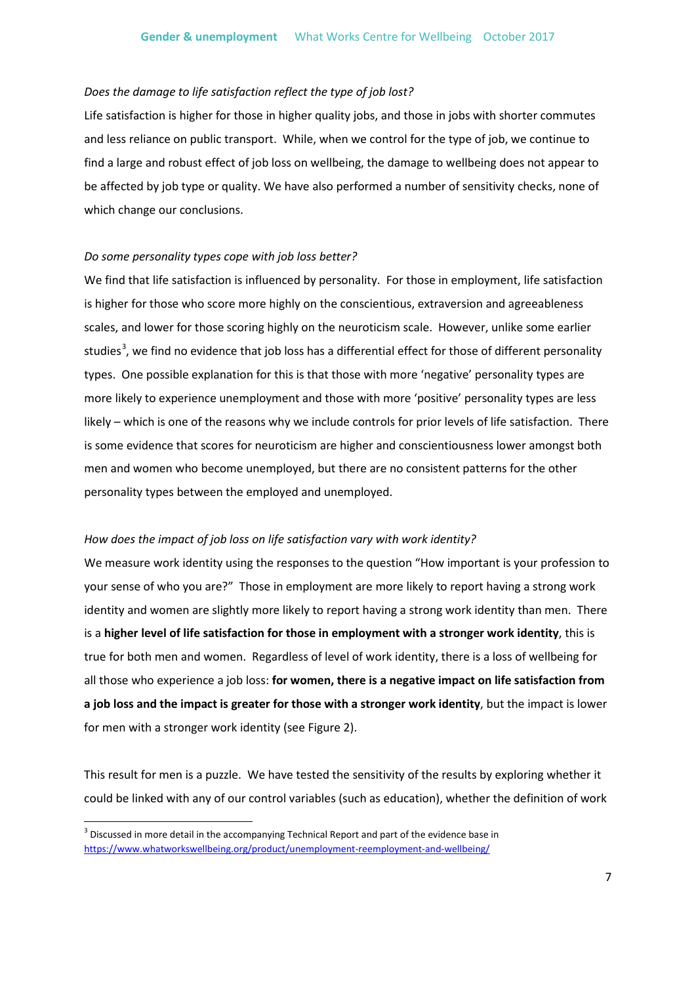#### *Does the damage to life satisfaction reflect the type of job lost?*

Life satisfaction is higher for those in higher quality jobs, and those in jobs with shorter commutes and less reliance on public transport. While, when we control for the type of job, we continue to find a large and robust effect of job loss on wellbeing, the damage to wellbeing does not appear to be affected by job type or quality. We have also performed a number of sensitivity checks, none of which change our conclusions.

#### *Do some personality types cope with job loss better?*

We find that life satisfaction is influenced by personality. For those in employment, life satisfaction is higher for those who score more highly on the conscientious, extraversion and agreeableness scales, and lower for those scoring highly on the neuroticism scale. However, unlike some earlier studies<sup>[3](#page-6-0)</sup>, we find no evidence that job loss has a differential effect for those of different personality types. One possible explanation for this is that those with more 'negative' personality types are more likely to experience unemployment and those with more 'positive' personality types are less likely – which is one of the reasons why we include controls for prior levels of life satisfaction. There is some evidence that scores for neuroticism are higher and conscientiousness lower amongst both men and women who become unemployed, but there are no consistent patterns for the other personality types between the employed and unemployed.

#### *How does the impact of job loss on life satisfaction vary with work identity?*

We measure work identity using the responses to the question "How important is your profession to your sense of who you are?" Those in employment are more likely to report having a strong work identity and women are slightly more likely to report having a strong work identity than men. There is a **higher level of life satisfaction for those in employment with a stronger work identity**, this is true for both men and women. Regardless of level of work identity, there is a loss of wellbeing for all those who experience a job loss: **for women, there is a negative impact on life satisfaction from a job loss and the impact is greater for those with a stronger work identity**, but the impact is lower for men with a stronger work identity (see Figure 2).

This result for men is a puzzle. We have tested the sensitivity of the results by exploring whether it could be linked with any of our control variables (such as education), whether the definition of work

<span id="page-6-0"></span> $3$  Discussed in more detail in the accompanying Technical Report and part of the evidence base in <https://www.whatworkswellbeing.org/product/unemployment-reemployment-and-wellbeing/>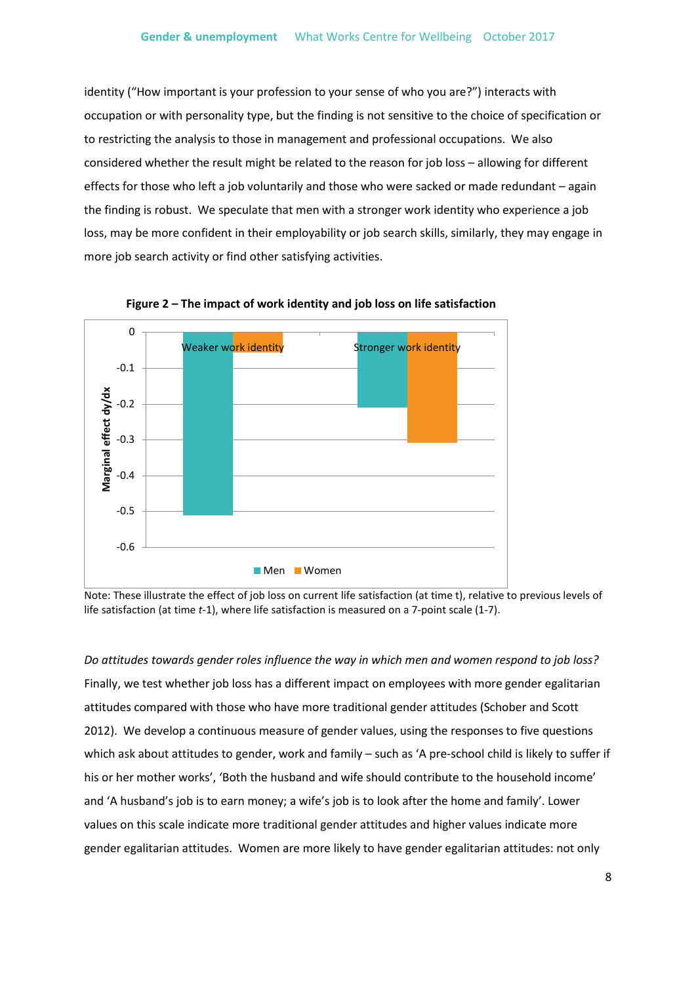identity ("How important is your profession to your sense of who you are?") interacts with occupation or with personality type, but the finding is not sensitive to the choice of specification or to restricting the analysis to those in management and professional occupations. We also considered whether the result might be related to the reason for job loss – allowing for different effects for those who left a job voluntarily and those who were sacked or made redundant – again the finding is robust. We speculate that men with a stronger work identity who experience a job loss, may be more confident in their employability or job search skills, similarly, they may engage in more job search activity or find other satisfying activities.



**Figure 2 – The impact of work identity and job loss on life satisfaction**

Note: These illustrate the effect of job loss on current life satisfaction (at time t), relative to previous levels of life satisfaction (at time *t*-1), where life satisfaction is measured on a 7-point scale (1-7).

*Do attitudes towards gender roles influence the way in which men and women respond to job loss?* Finally, we test whether job loss has a different impact on employees with more gender egalitarian attitudes compared with those who have more traditional gender attitudes (Schober and Scott 2012). We develop a continuous measure of gender values, using the responses to five questions which ask about attitudes to gender, work and family – such as 'A pre-school child is likely to suffer if his or her mother works', 'Both the husband and wife should contribute to the household income' and 'A husband's job is to earn money; a wife's job is to look after the home and family'. Lower values on this scale indicate more traditional gender attitudes and higher values indicate more gender egalitarian attitudes. Women are more likely to have gender egalitarian attitudes: not only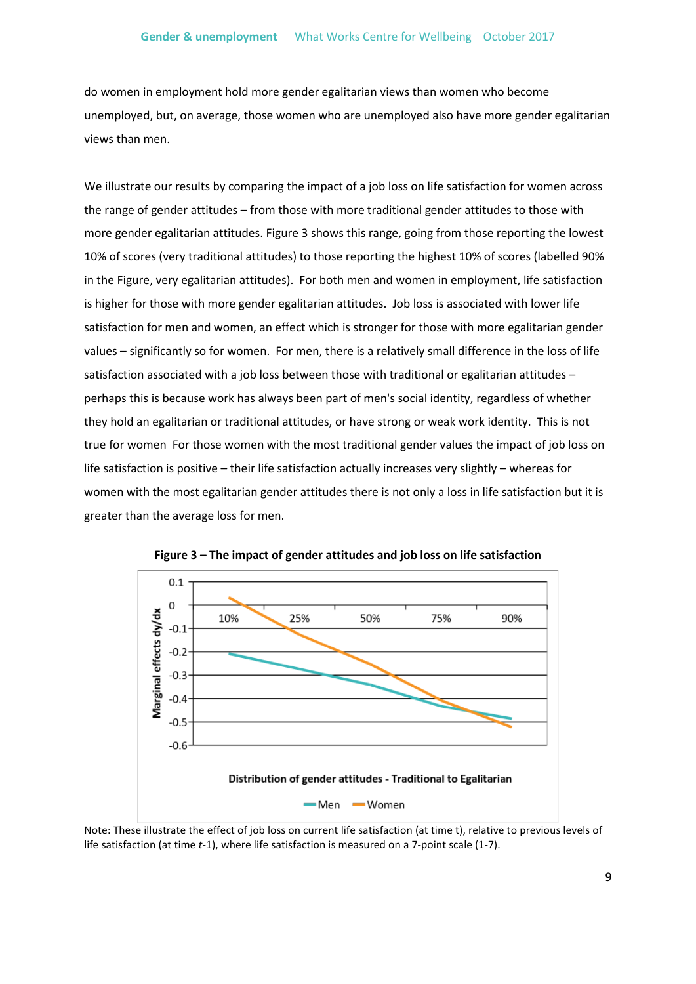do women in employment hold more gender egalitarian views than women who become unemployed, but, on average, those women who are unemployed also have more gender egalitarian views than men.

We illustrate our results by comparing the impact of a job loss on life satisfaction for women across the range of gender attitudes – from those with more traditional gender attitudes to those with more gender egalitarian attitudes. Figure 3 shows this range, going from those reporting the lowest 10% of scores (very traditional attitudes) to those reporting the highest 10% of scores (labelled 90% in the Figure, very egalitarian attitudes). For both men and women in employment, life satisfaction is higher for those with more gender egalitarian attitudes. Job loss is associated with lower life satisfaction for men and women, an effect which is stronger for those with more egalitarian gender values – significantly so for women. For men, there is a relatively small difference in the loss of life satisfaction associated with a job loss between those with traditional or egalitarian attitudes – perhaps this is because work has always been part of men's social identity, regardless of whether they hold an egalitarian or traditional attitudes, or have strong or weak work identity. This is not true for women For those women with the most traditional gender values the impact of job loss on life satisfaction is positive – their life satisfaction actually increases very slightly – whereas for women with the most egalitarian gender attitudes there is not only a loss in life satisfaction but it is greater than the average loss for men.





Note: These illustrate the effect of job loss on current life satisfaction (at time t), relative to previous levels of life satisfaction (at time *t*-1), where life satisfaction is measured on a 7-point scale (1-7).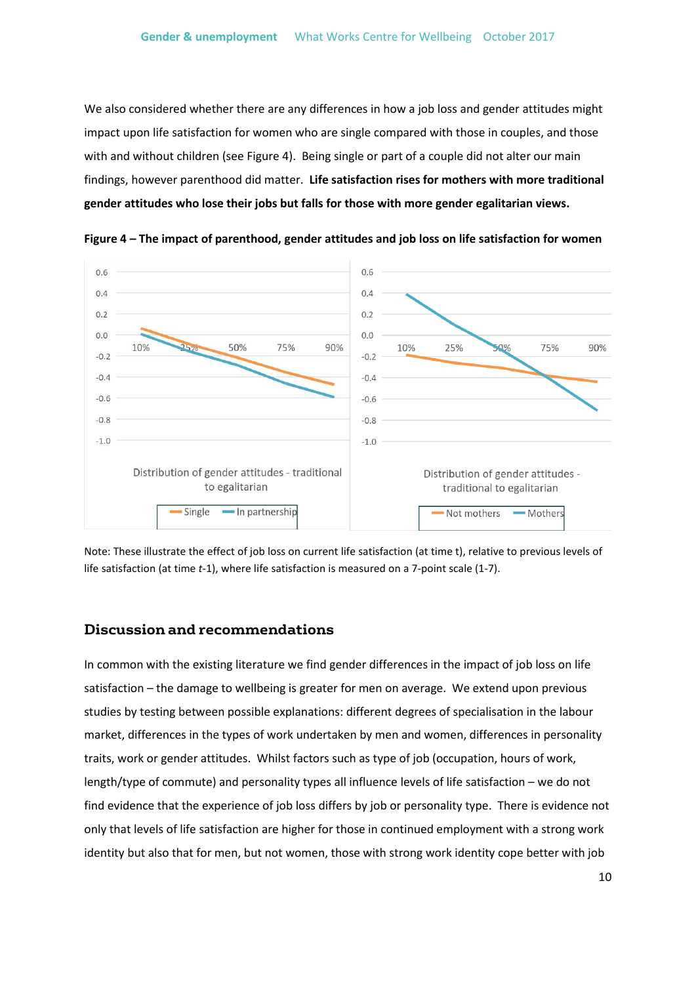We also considered whether there are any differences in how a job loss and gender attitudes might impact upon life satisfaction for women who are single compared with those in couples, and those with and without children (see Figure 4). Being single or part of a couple did not alter our main findings, however parenthood did matter. **Life satisfaction rises for mothers with more traditional gender attitudes who lose their jobs but falls for those with more gender egalitarian views.**



**Figure 4 – The impact of parenthood, gender attitudes and job loss on life satisfaction for women**

Note: These illustrate the effect of job loss on current life satisfaction (at time t), relative to previous levels of life satisfaction (at time *t*-1), where life satisfaction is measured on a 7-point scale (1-7).

#### **Discussion and recommendations**

In common with the existing literature we find gender differences in the impact of job loss on life satisfaction – the damage to wellbeing is greater for men on average. We extend upon previous studies by testing between possible explanations: different degrees of specialisation in the labour market, differences in the types of work undertaken by men and women, differences in personality traits, work or gender attitudes. Whilst factors such as type of job (occupation, hours of work, length/type of commute) and personality types all influence levels of life satisfaction – we do not find evidence that the experience of job loss differs by job or personality type. There is evidence not only that levels of life satisfaction are higher for those in continued employment with a strong work identity but also that for men, but not women, those with strong work identity cope better with job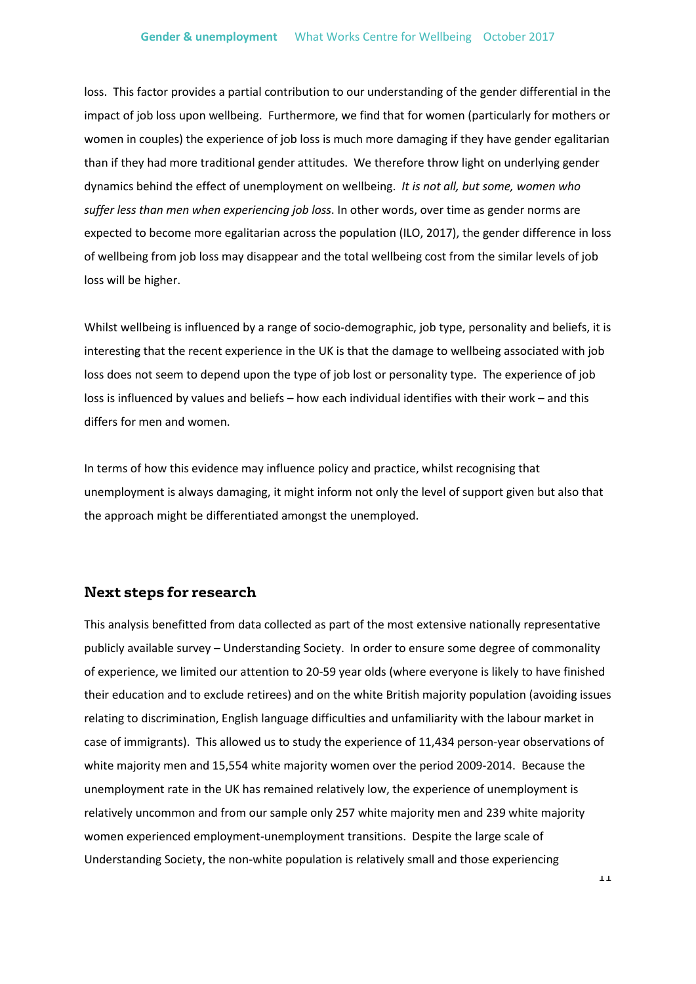loss. This factor provides a partial contribution to our understanding of the gender differential in the impact of job loss upon wellbeing. Furthermore, we find that for women (particularly for mothers or women in couples) the experience of job loss is much more damaging if they have gender egalitarian than if they had more traditional gender attitudes. We therefore throw light on underlying gender dynamics behind the effect of unemployment on wellbeing. *It is not all, but some, women who suffer less than men when experiencing job loss*. In other words, over time as gender norms are expected to become more egalitarian across the population (ILO, 2017), the gender difference in loss of wellbeing from job loss may disappear and the total wellbeing cost from the similar levels of job loss will be higher.

Whilst wellbeing is influenced by a range of socio-demographic, job type, personality and beliefs, it is interesting that the recent experience in the UK is that the damage to wellbeing associated with job loss does not seem to depend upon the type of job lost or personality type. The experience of job loss is influenced by values and beliefs – how each individual identifies with their work – and this differs for men and women.

In terms of how this evidence may influence policy and practice, whilst recognising that unemployment is always damaging, it might inform not only the level of support given but also that the approach might be differentiated amongst the unemployed.

#### **Next steps for research**

This analysis benefitted from data collected as part of the most extensive nationally representative publicly available survey – Understanding Society. In order to ensure some degree of commonality of experience, we limited our attention to 20-59 year olds (where everyone is likely to have finished their education and to exclude retirees) and on the white British majority population (avoiding issues relating to discrimination, English language difficulties and unfamiliarity with the labour market in case of immigrants). This allowed us to study the experience of 11,434 person-year observations of white majority men and 15,554 white majority women over the period 2009-2014. Because the unemployment rate in the UK has remained relatively low, the experience of unemployment is relatively uncommon and from our sample only 257 white majority men and 239 white majority women experienced employment-unemployment transitions. Despite the large scale of Understanding Society, the non-white population is relatively small and those experiencing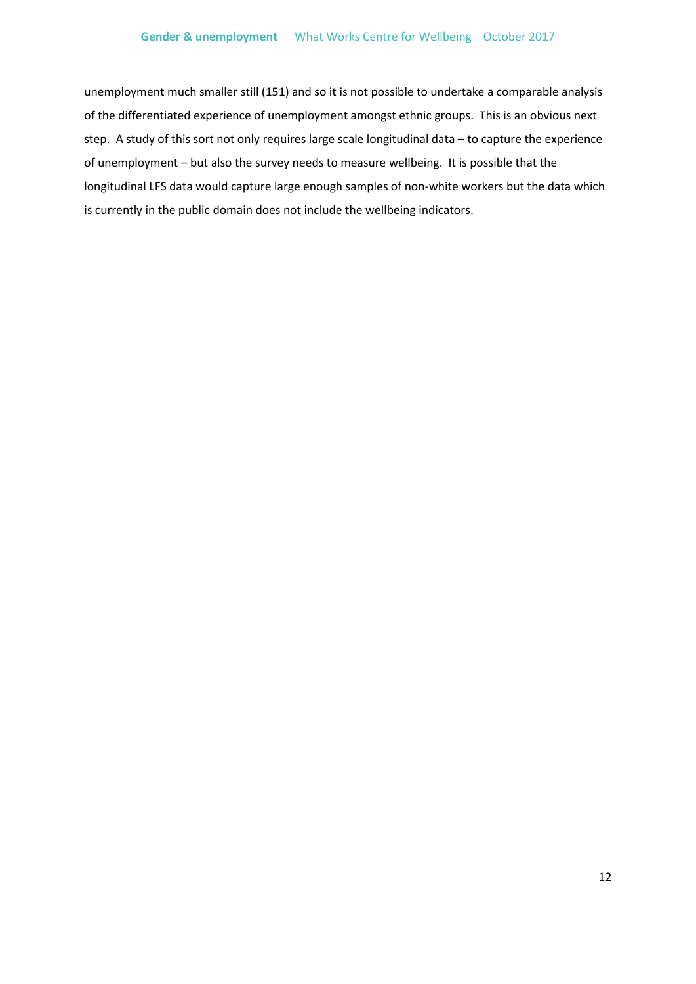unemployment much smaller still (151) and so it is not possible to undertake a comparable analysis of the differentiated experience of unemployment amongst ethnic groups. This is an obvious next step. A study of this sort not only requires large scale longitudinal data – to capture the experience of unemployment – but also the survey needs to measure wellbeing. It is possible that the longitudinal LFS data would capture large enough samples of non-white workers but the data which is currently in the public domain does not include the wellbeing indicators.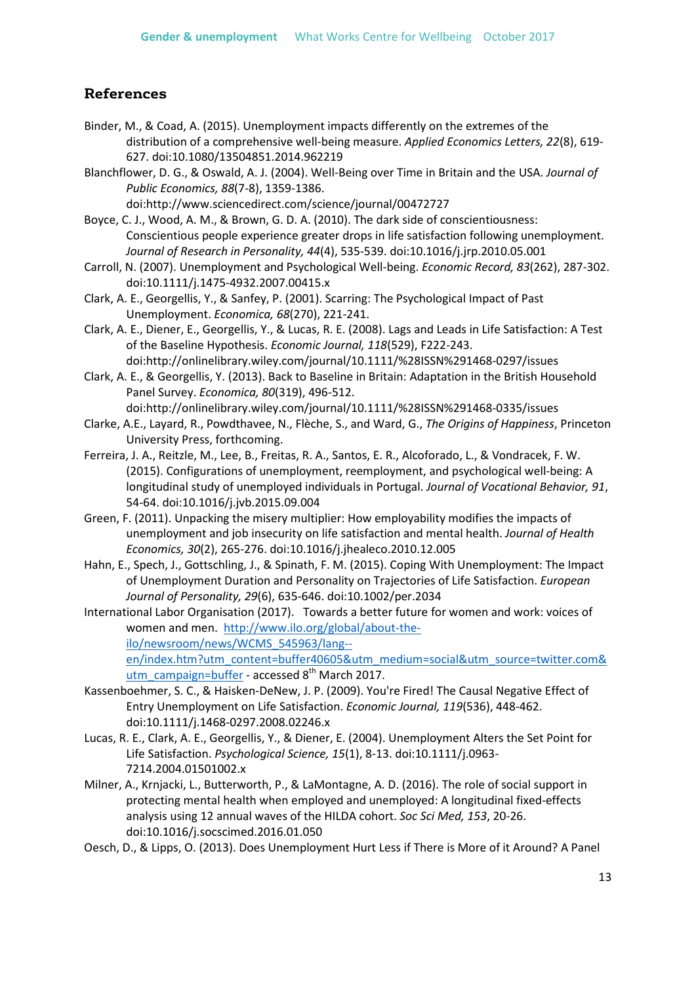### **References**

- Binder, M., & Coad, A. (2015). Unemployment impacts differently on the extremes of the distribution of a comprehensive well-being measure. *Applied Economics Letters, 22*(8), 619- 627. doi:10.1080/13504851.2014.962219
- Blanchflower, D. G., & Oswald, A. J. (2004). Well-Being over Time in Britain and the USA. *Journal of Public Economics, 88*(7-8), 1359-1386.

doi:http://www.sciencedirect.com/science/journal/00472727

Boyce, C. J., Wood, A. M., & Brown, G. D. A. (2010). The dark side of conscientiousness: Conscientious people experience greater drops in life satisfaction following unemployment. *Journal of Research in Personality, 44*(4), 535-539. doi:10.1016/j.jrp.2010.05.001

- Carroll, N. (2007). Unemployment and Psychological Well-being. *Economic Record, 83*(262), 287-302. doi:10.1111/j.1475-4932.2007.00415.x
- Clark, A. E., Georgellis, Y., & Sanfey, P. (2001). Scarring: The Psychological Impact of Past Unemployment. *Economica, 68*(270), 221-241.
- Clark, A. E., Diener, E., Georgellis, Y., & Lucas, R. E. (2008). Lags and Leads in Life Satisfaction: A Test of the Baseline Hypothesis. *Economic Journal, 118*(529), F222-243. doi:http://onlinelibrary.wiley.com/journal/10.1111/%28ISSN%291468-0297/issues

Clark, A. E., & Georgellis, Y. (2013). Back to Baseline in Britain: Adaptation in the British Household Panel Survey. *Economica, 80*(319), 496-512. doi:http://onlinelibrary.wiley.com/journal/10.1111/%28ISSN%291468-0335/issues

- Clarke, A.E., Layard, R., Powdthavee, N., Flèche, S., and Ward, G., *The Origins of Happiness*, Princeton University Press, forthcoming.
- Ferreira, J. A., Reitzle, M., Lee, B., Freitas, R. A., Santos, E. R., Alcoforado, L., & Vondracek, F. W. (2015). Configurations of unemployment, reemployment, and psychological well-being: A longitudinal study of unemployed individuals in Portugal. *Journal of Vocational Behavior, 91*, 54-64. doi:10.1016/j.jvb.2015.09.004
- Green, F. (2011). Unpacking the misery multiplier: How employability modifies the impacts of unemployment and job insecurity on life satisfaction and mental health. *Journal of Health Economics, 30*(2), 265-276. doi:10.1016/j.jhealeco.2010.12.005
- Hahn, E., Spech, J., Gottschling, J., & Spinath, F. M. (2015). Coping With Unemployment: The Impact of Unemployment Duration and Personality on Trajectories of Life Satisfaction. *European Journal of Personality, 29*(6), 635-646. doi:10.1002/per.2034

International Labor Organisation (2017). Towards a better future for women and work: voices of women and men. [http://www.ilo.org/global/about-the](http://www.ilo.org/global/about-the-ilo/newsroom/news/WCMS_545963/lang--en/index.htm?utm_content=buffer40605&utm_medium=social&utm_source=twitter.com&utm_campaign=buffer)[ilo/newsroom/news/WCMS\\_545963/lang-](http://www.ilo.org/global/about-the-ilo/newsroom/news/WCMS_545963/lang--en/index.htm?utm_content=buffer40605&utm_medium=social&utm_source=twitter.com&utm_campaign=buffer) [en/index.htm?utm\\_content=buffer40605&utm\\_medium=social&utm\\_source=twitter.com&](http://www.ilo.org/global/about-the-ilo/newsroom/news/WCMS_545963/lang--en/index.htm?utm_content=buffer40605&utm_medium=social&utm_source=twitter.com&utm_campaign=buffer) [utm\\_campaign=buffer](http://www.ilo.org/global/about-the-ilo/newsroom/news/WCMS_545963/lang--en/index.htm?utm_content=buffer40605&utm_medium=social&utm_source=twitter.com&utm_campaign=buffer) - accessed 8<sup>th</sup> March 2017.

- Kassenboehmer, S. C., & Haisken-DeNew, J. P. (2009). You're Fired! The Causal Negative Effect of Entry Unemployment on Life Satisfaction. *Economic Journal, 119*(536), 448-462. doi:10.1111/j.1468-0297.2008.02246.x
- Lucas, R. E., Clark, A. E., Georgellis, Y., & Diener, E. (2004). Unemployment Alters the Set Point for Life Satisfaction. *Psychological Science, 15*(1), 8-13. doi:10.1111/j.0963- 7214.2004.01501002.x
- Milner, A., Krnjacki, L., Butterworth, P., & LaMontagne, A. D. (2016). The role of social support in protecting mental health when employed and unemployed: A longitudinal fixed-effects analysis using 12 annual waves of the HILDA cohort. *Soc Sci Med, 153*, 20-26. doi:10.1016/j.socscimed.2016.01.050
- Oesch, D., & Lipps, O. (2013). Does Unemployment Hurt Less if There is More of it Around? A Panel